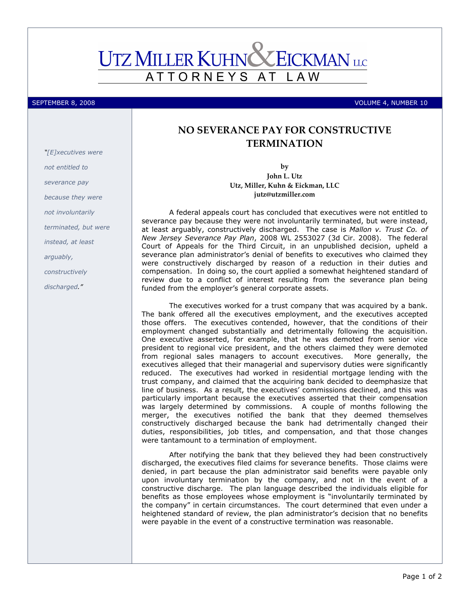## **UTZ MILLER KUHN X EICKMAN** LLC ATTORNEYS AT L A W

SEPTEMBER 8, 2008 VOLUME 4, NUMBER 10

## NO SEVERANCE PAY FOR CONSTRUCTIVE TERMINATION

by John L. Utz Utz, Miller, Kuhn & Eickman, LLC jutz@utzmiller.com

A federal appeals court has concluded that executives were not entitled to severance pay because they were not involuntarily terminated, but were instead, at least arguably, constructively discharged. The case is Mallon v. Trust Co. of New Jersey Severance Pay Plan, 2008 WL 2553027 (3d Cir. 2008). The federal Court of Appeals for the Third Circuit, in an unpublished decision, upheld a severance plan administrator's denial of benefits to executives who claimed they were constructively discharged by reason of a reduction in their duties and compensation. In doing so, the court applied a somewhat heightened standard of review due to a conflict of interest resulting from the severance plan being funded from the employer's general corporate assets.

The executives worked for a trust company that was acquired by a bank. The bank offered all the executives employment, and the executives accepted those offers. The executives contended, however, that the conditions of their employment changed substantially and detrimentally following the acquisition. One executive asserted, for example, that he was demoted from senior vice president to regional vice president, and the others claimed they were demoted from regional sales managers to account executives. More generally, the executives alleged that their managerial and supervisory duties were significantly reduced. The executives had worked in residential mortgage lending with the trust company, and claimed that the acquiring bank decided to deemphasize that line of business. As a result, the executives' commissions declined, and this was particularly important because the executives asserted that their compensation was largely determined by commissions. A couple of months following the merger, the executives notified the bank that they deemed themselves constructively discharged because the bank had detrimentally changed their duties, responsibilities, job titles, and compensation, and that those changes were tantamount to a termination of employment.

After notifying the bank that they believed they had been constructively discharged, the executives filed claims for severance benefits. Those claims were denied, in part because the plan administrator said benefits were payable only upon involuntary termination by the company, and not in the event of a constructive discharge. The plan language described the individuals eligible for benefits as those employees whose employment is "involuntarily terminated by the company" in certain circumstances. The court determined that even under a heightened standard of review, the plan administrator's decision that no benefits were payable in the event of a constructive termination was reasonable.

"[E]xecutives were not entitled to severance pay because they were not involuntarily terminated, but were instead, at least arguably, constructively discharged."